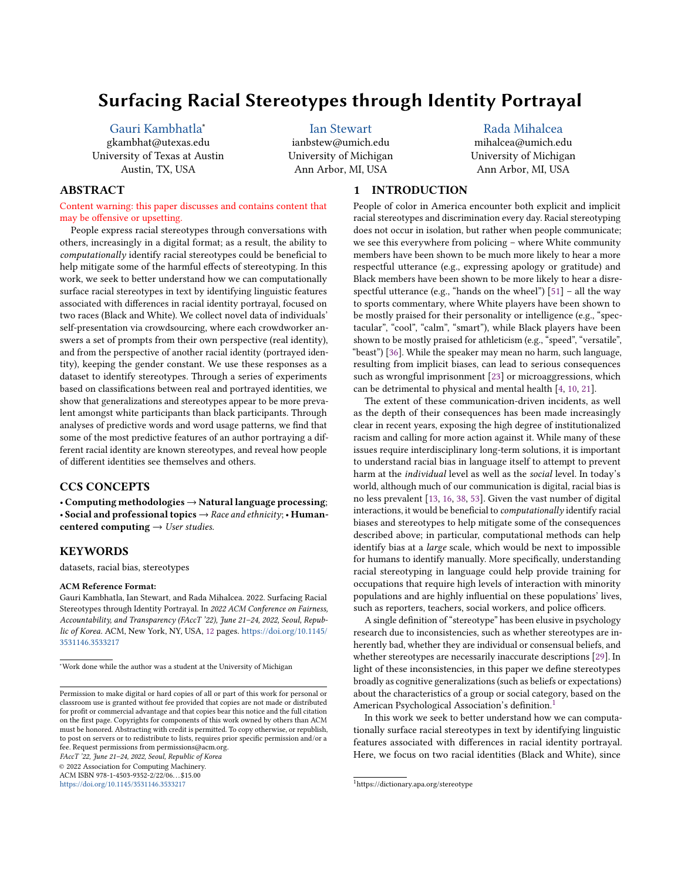# Surfacing Racial Stereotypes through Identity Portrayal

[Gauri Kambhatla](https://orcid.org/0000-0003-1766-7840)<sup>∗</sup>

gkambhat@utexas.edu University of Texas at Austin Austin, TX, USA

[Ian Stewart](https://orcid.org/0000-0002-6492-9199) ianbstew@umich.edu University of Michigan Ann Arbor, MI, USA

## [Rada Mihalcea](https://orcid.org/0000-0002-0767-6703)

mihalcea@umich.edu University of Michigan Ann Arbor, MI, USA

# ABSTRACT

Content warning: this paper discusses and contains content that may be offensive or upsetting.

People express racial stereotypes through conversations with others, increasingly in a digital format; as a result, the ability to computationally identify racial stereotypes could be beneficial to help mitigate some of the harmful effects of stereotyping. In this work, we seek to better understand how we can computationally surface racial stereotypes in text by identifying linguistic features associated with differences in racial identity portrayal, focused on two races (Black and White). We collect novel data of individuals' self-presentation via crowdsourcing, where each crowdworker answers a set of prompts from their own perspective (real identity), and from the perspective of another racial identity (portrayed identity), keeping the gender constant. We use these responses as a dataset to identify stereotypes. Through a series of experiments based on classifications between real and portrayed identities, we show that generalizations and stereotypes appear to be more prevalent amongst white participants than black participants. Through analyses of predictive words and word usage patterns, we find that some of the most predictive features of an author portraying a different racial identity are known stereotypes, and reveal how people of different identities see themselves and others.

# CCS CONCEPTS

• Computing methodologies → Natural language processing; • Social and professional topics  $\rightarrow$  Race and ethnicity; • Humancentered computing  $\rightarrow$  User studies.

## KEYWORDS

datasets, racial bias, stereotypes

#### ACM Reference Format:

Gauri Kambhatla, Ian Stewart, and Rada Mihalcea. 2022. Surfacing Racial Stereotypes through Identity Portrayal. In 2022 ACM Conference on Fairness, Accountability, and Transparency (FAccT '22), June 21–24, 2022, Seoul, Republic of Korea. ACM, New York, NY, USA, [12](#page-11-0) pages. [https://doi.org/10.1145/](https://doi.org/10.1145/3531146.3533217) [3531146.3533217](https://doi.org/10.1145/3531146.3533217)

<sup>∗</sup>Work done while the author was a student at the University of Michigan

FAccT '22, June 21–24, 2022, Seoul, Republic of Korea

© 2022 Association for Computing Machinery.

ACM ISBN 978-1-4503-9352-2/22/06. . . \$15.00 <https://doi.org/10.1145/3531146.3533217>

1 INTRODUCTION

People of color in America encounter both explicit and implicit racial stereotypes and discrimination every day. Racial stereotyping does not occur in isolation, but rather when people communicate; we see this everywhere from policing – where White community members have been shown to be much more likely to hear a more respectful utterance (e.g., expressing apology or gratitude) and Black members have been shown to be more likely to hear a disrespectful utterance (e.g., "hands on the wheel")  $[51]$  – all the way to sports commentary, where White players have been shown to be mostly praised for their personality or intelligence (e.g., "spectacular", "cool", "calm", "smart"), while Black players have been shown to be mostly praised for athleticism (e.g., "speed", "versatile", "beast") [\[36\]](#page-11-2). While the speaker may mean no harm, such language, resulting from implicit biases, can lead to serious consequences such as wrongful imprisonment [\[23\]](#page-10-0) or microaggressions, which can be detrimental to physical and mental health [\[4,](#page-10-1) [10,](#page-10-2) [21\]](#page-10-3).

The extent of these communication-driven incidents, as well as the depth of their consequences has been made increasingly clear in recent years, exposing the high degree of institutionalized racism and calling for more action against it. While many of these issues require interdisciplinary long-term solutions, it is important to understand racial bias in language itself to attempt to prevent harm at the individual level as well as the social level. In today's world, although much of our communication is digital, racial bias is no less prevalent [\[13,](#page-10-4) [16,](#page-10-5) [38,](#page-11-3) [53\]](#page-11-4). Given the vast number of digital interactions, it would be beneficial to computationally identify racial biases and stereotypes to help mitigate some of the consequences described above; in particular, computational methods can help identify bias at a large scale, which would be next to impossible for humans to identify manually. More specifically, understanding racial stereotyping in language could help provide training for occupations that require high levels of interaction with minority populations and are highly influential on these populations' lives, such as reporters, teachers, social workers, and police officers.

A single definition of "stereotype" has been elusive in psychology research due to inconsistencies, such as whether stereotypes are inherently bad, whether they are individual or consensual beliefs, and whether stereotypes are necessarily inaccurate descriptions [\[29\]](#page-10-6). In light of these inconsistencies, in this paper we define stereotypes broadly as cognitive generalizations (such as beliefs or expectations) about the characteristics of a group or social category, based on the American Psychological Association's definition.[1](#page-0-0)

In this work we seek to better understand how we can computationally surface racial stereotypes in text by identifying linguistic features associated with differences in racial identity portrayal. Here, we focus on two racial identities (Black and White), since

Permission to make digital or hard copies of all or part of this work for personal or classroom use is granted without fee provided that copies are not made or distributed for profit or commercial advantage and that copies bear this notice and the full citation on the first page. Copyrights for components of this work owned by others than ACM must be honored. Abstracting with credit is permitted. To copy otherwise, or republish, to post on servers or to redistribute to lists, requires prior specific permission and/or a fee. Request permissions from permissions@acm.org.

<span id="page-0-0"></span><sup>1</sup>https://dictionary.apa.org/stereotype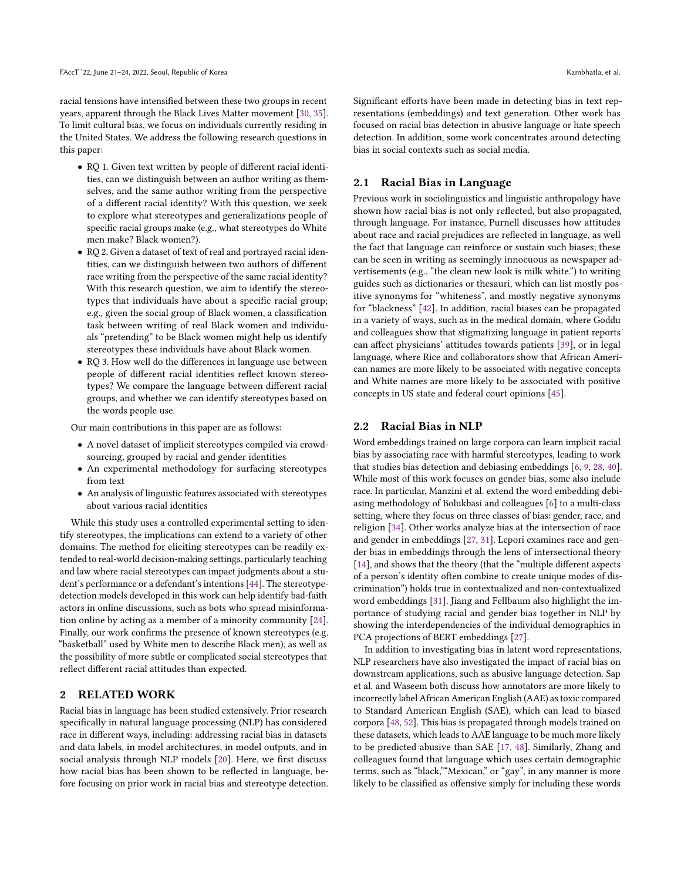racial tensions have intensified between these two groups in recent years, apparent through the Black Lives Matter movement [\[30,](#page-10-7) [35\]](#page-11-5). To limit cultural bias, we focus on individuals currently residing in the United States. We address the following research questions in this paper:

- RQ 1. Given text written by people of different racial identities, can we distinguish between an author writing as themselves, and the same author writing from the perspective of a different racial identity? With this question, we seek to explore what stereotypes and generalizations people of specific racial groups make (e.g., what stereotypes do White men make? Black women?).
- RQ 2. Given a dataset of text of real and portrayed racial identities, can we distinguish between two authors of different race writing from the perspective of the same racial identity? With this research question, we aim to identify the stereotypes that individuals have about a specific racial group; e.g., given the social group of Black women, a classification task between writing of real Black women and individuals "pretending" to be Black women might help us identify stereotypes these individuals have about Black women.
- RQ 3. How well do the differences in language use between people of different racial identities reflect known stereotypes? We compare the language between different racial groups, and whether we can identify stereotypes based on the words people use.

Our main contributions in this paper are as follows:

- A novel dataset of implicit stereotypes compiled via crowdsourcing, grouped by racial and gender identities
- An experimental methodology for surfacing stereotypes from text
- An analysis of linguistic features associated with stereotypes about various racial identities

While this study uses a controlled experimental setting to identify stereotypes, the implications can extend to a variety of other domains. The method for eliciting stereotypes can be readily extended to real-world decision-making settings, particularly teaching and law where racial stereotypes can impact judgments about a student's performance or a defendant's intentions [\[44\]](#page-11-6). The stereotypedetection models developed in this work can help identify bad-faith actors in online discussions, such as bots who spread misinformation online by acting as a member of a minority community [\[24\]](#page-10-8). Finally, our work confirms the presence of known stereotypes (e.g. "basketball" used by White men to describe Black men), as well as the possibility of more subtle or complicated social stereotypes that reflect different racial attitudes than expected.

## 2 RELATED WORK

Racial bias in language has been studied extensively. Prior research specifically in natural language processing (NLP) has considered race in different ways, including: addressing racial bias in datasets and data labels, in model architectures, in model outputs, and in social analysis through NLP models [\[20\]](#page-10-9). Here, we first discuss how racial bias has been shown to be reflected in language, before focusing on prior work in racial bias and stereotype detection. Significant efforts have been made in detecting bias in text representations (embeddings) and text generation. Other work has focused on racial bias detection in abusive language or hate speech detection. In addition, some work concentrates around detecting bias in social contexts such as social media.

## 2.1 Racial Bias in Language

Previous work in sociolinguistics and linguistic anthropology have shown how racial bias is not only reflected, but also propagated, through language. For instance, Purnell discusses how attitudes about race and racial prejudices are reflected in language, as well the fact that language can reinforce or sustain such biases; these can be seen in writing as seemingly innocuous as newspaper advertisements (e.g., "the clean new look is milk white.") to writing guides such as dictionaries or thesauri, which can list mostly positive synonyms for "whiteness", and mostly negative synonyms for "blackness" [\[42\]](#page-11-7). In addition, racial biases can be propagated in a variety of ways, such as in the medical domain, where Goddu and colleagues show that stigmatizing language in patient reports can affect physicians' attitudes towards patients [\[39\]](#page-11-8), or in legal language, where Rice and collaborators show that African American names are more likely to be associated with negative concepts and White names are more likely to be associated with positive concepts in US state and federal court opinions [\[45\]](#page-11-9).

#### 2.2 Racial Bias in NLP

Word embeddings trained on large corpora can learn implicit racial bias by associating race with harmful stereotypes, leading to work that studies bias detection and debiasing embeddings [\[6,](#page-10-10) [9,](#page-10-11) [28,](#page-10-12) [40\]](#page-11-10). While most of this work focuses on gender bias, some also include race. In particular, Manzini et al. extend the word embedding debiasing methodology of Bolukbasi and colleagues [\[6\]](#page-10-10) to a multi-class setting, where they focus on three classes of bias: gender, race, and religion [\[34\]](#page-10-13). Other works analyze bias at the intersection of race and gender in embeddings [\[27,](#page-10-14) [31\]](#page-10-15). Lepori examines race and gender bias in embeddings through the lens of intersectional theory [\[14\]](#page-10-16), and shows that the theory (that the "multiple different aspects of a person's identity often combine to create unique modes of discrimination") holds true in contextualized and non-contextualized word embeddings [\[31\]](#page-10-15). Jiang and Fellbaum also highlight the importance of studying racial and gender bias together in NLP by showing the interdependencies of the individual demographics in PCA projections of BERT embeddings [\[27\]](#page-10-14).

In addition to investigating bias in latent word representations, NLP researchers have also investigated the impact of racial bias on downstream applications, such as abusive language detection. Sap et al. and Waseem both discuss how annotators are more likely to incorrectly label African American English (AAE) as toxic compared to Standard American English (SAE), which can lead to biased corpora [\[48,](#page-11-11) [52\]](#page-11-12). This bias is propagated through models trained on these datasets, which leads to AAE language to be much more likely to be predicted abusive than SAE [\[17,](#page-10-17) [48\]](#page-11-11). Similarly, Zhang and colleagues found that language which uses certain demographic terms, such as "black,""Mexican," or "gay", in any manner is more likely to be classified as offensive simply for including these words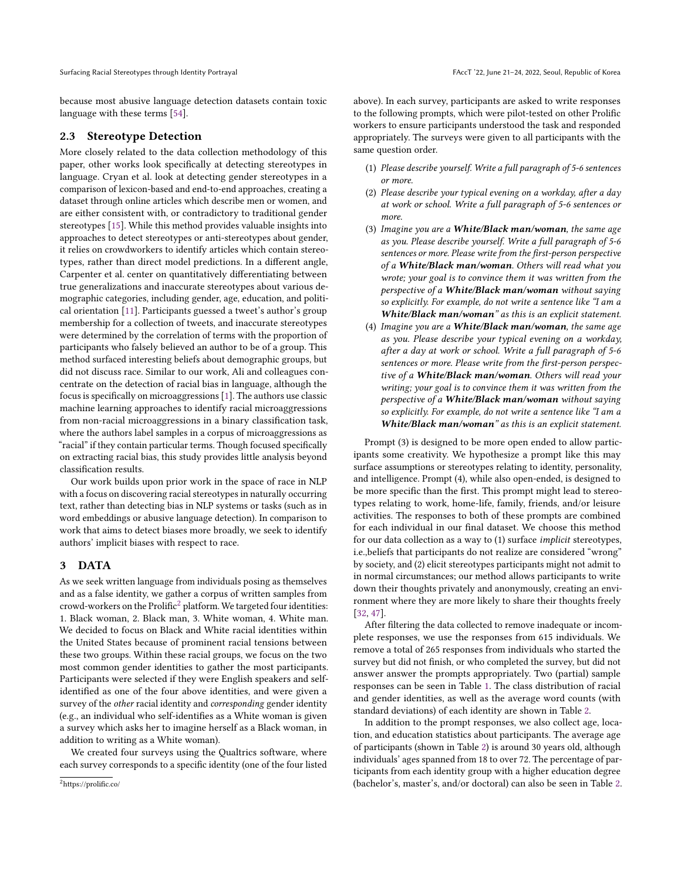Surfacing Racial Stereotypes through Identity Portrayal **FACCT** is a structure of Korea Contract of Korea Contract Text of Korea Contract Text of Korea Contract Text of Korea Contract Text of Korea Contract Text of Korea C

because most abusive language detection datasets contain toxic language with these terms [\[54\]](#page-11-13).

#### 2.3 Stereotype Detection

More closely related to the data collection methodology of this paper, other works look specifically at detecting stereotypes in language. Cryan et al. look at detecting gender stereotypes in a comparison of lexicon-based and end-to-end approaches, creating a dataset through online articles which describe men or women, and are either consistent with, or contradictory to traditional gender stereotypes [\[15\]](#page-10-18). While this method provides valuable insights into approaches to detect stereotypes or anti-stereotypes about gender, it relies on crowdworkers to identify articles which contain stereotypes, rather than direct model predictions. In a different angle, Carpenter et al. center on quantitatively differentiating between true generalizations and inaccurate stereotypes about various demographic categories, including gender, age, education, and political orientation [\[11\]](#page-10-19). Participants guessed a tweet's author's group membership for a collection of tweets, and inaccurate stereotypes were determined by the correlation of terms with the proportion of participants who falsely believed an author to be of a group. This method surfaced interesting beliefs about demographic groups, but did not discuss race. Similar to our work, Ali and colleagues concentrate on the detection of racial bias in language, although the focus is specifically on microaggressions [\[1\]](#page-10-20). The authors use classic machine learning approaches to identify racial microaggressions from non-racial microaggressions in a binary classification task, where the authors label samples in a corpus of microaggressions as "racial" if they contain particular terms. Though focused specifically on extracting racial bias, this study provides little analysis beyond classification results.

Our work builds upon prior work in the space of race in NLP with a focus on discovering racial stereotypes in naturally occurring text, rather than detecting bias in NLP systems or tasks (such as in word embeddings or abusive language detection). In comparison to work that aims to detect biases more broadly, we seek to identify authors' implicit biases with respect to race.

#### <span id="page-2-1"></span>3 DATA

As we seek written language from individuals posing as themselves and as a false identity, we gather a corpus of written samples from crowd-workers on the Prolific<sup>[2](#page-2-0)</sup> platform. We targeted four identities: 1. Black woman, 2. Black man, 3. White woman, 4. White man. We decided to focus on Black and White racial identities within the United States because of prominent racial tensions between these two groups. Within these racial groups, we focus on the two most common gender identities to gather the most participants. Participants were selected if they were English speakers and selfidentified as one of the four above identities, and were given a survey of the other racial identity and corresponding gender identity (e.g., an individual who self-identifies as a White woman is given a survey which asks her to imagine herself as a Black woman, in addition to writing as a White woman).

We created four surveys using the Qualtrics software, where each survey corresponds to a specific identity (one of the four listed above). In each survey, participants are asked to write responses to the following prompts, which were pilot-tested on other Prolific workers to ensure participants understood the task and responded appropriately. The surveys were given to all participants with the same question order.

- (1) Please describe yourself. Write a full paragraph of 5-6 sentences or more.
- (2) Please describe your typical evening on a workday, after a day at work or school. Write a full paragraph of 5-6 sentences or more.
- (3) Imagine you are a **White/Black man/woman**, the same age as you. Please describe yourself. Write a full paragraph of 5-6 sentences or more. Please write from the first-person perspective of a White/Black man/woman. Others will read what you wrote; your goal is to convince them it was written from the perspective of a White/Black man/woman without saying so explicitly. For example, do not write a sentence like "I am a White/Black man/woman" as this is an explicit statement.
- (4) Imagine you are a **White/Black man/woman**, the same age as you. Please describe your typical evening on a workday, after a day at work or school. Write a full paragraph of 5-6 sentences or more. Please write from the first-person perspective of a White/Black man/woman. Others will read your writing; your goal is to convince them it was written from the perspective of a White/Black man/woman without saying so explicitly. For example, do not write a sentence like "I am a White/Black man/woman" as this is an explicit statement.

Prompt (3) is designed to be more open ended to allow participants some creativity. We hypothesize a prompt like this may surface assumptions or stereotypes relating to identity, personality, and intelligence. Prompt (4), while also open-ended, is designed to be more specific than the first. This prompt might lead to stereotypes relating to work, home-life, family, friends, and/or leisure activities. The responses to both of these prompts are combined for each individual in our final dataset. We choose this method for our data collection as a way to (1) surface implicit stereotypes, i.e.,beliefs that participants do not realize are considered "wrong" by society, and (2) elicit stereotypes participants might not admit to in normal circumstances; our method allows participants to write down their thoughts privately and anonymously, creating an environment where they are more likely to share their thoughts freely [\[32,](#page-10-21) [47\]](#page-11-14).

After filtering the data collected to remove inadequate or incomplete responses, we use the responses from 615 individuals. We remove a total of 265 responses from individuals who started the survey but did not finish, or who completed the survey, but did not answer answer the prompts appropriately. Two (partial) sample responses can be seen in Table [1.](#page-4-0) The class distribution of racial and gender identities, as well as the average word counts (with standard deviations) of each identity are shown in Table [2.](#page-4-1)

In addition to the prompt responses, we also collect age, location, and education statistics about participants. The average age of participants (shown in Table [2\)](#page-4-1) is around 30 years old, although individuals' ages spanned from 18 to over 72. The percentage of participants from each identity group with a higher education degree (bachelor's, master's, and/or doctoral) can also be seen in Table [2.](#page-4-1)

<span id="page-2-0"></span><sup>2</sup>https://prolific.co/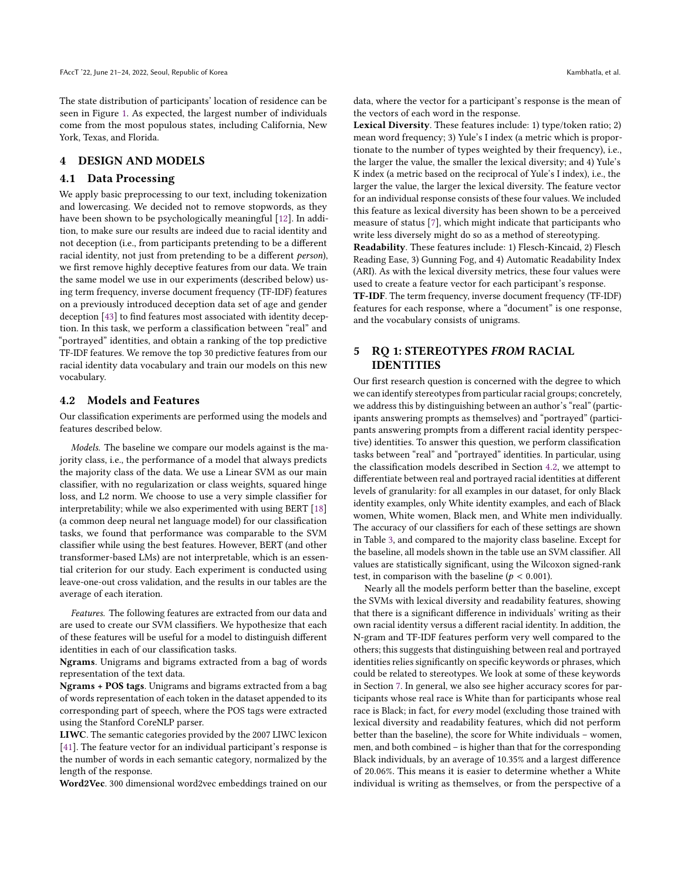The state distribution of participants' location of residence can be seen in Figure [1.](#page-4-2) As expected, the largest number of individuals come from the most populous states, including California, New York, Texas, and Florida.

#### DESIGN AND MODELS

#### 4.1 Data Processing

We apply basic preprocessing to our text, including tokenization and lowercasing. We decided not to remove stopwords, as they have been shown to be psychologically meaningful [\[12\]](#page-10-22). In addition, to make sure our results are indeed due to racial identity and not deception (i.e., from participants pretending to be a different racial identity, not just from pretending to be a different person), we first remove highly deceptive features from our data. We train the same model we use in our experiments (described below) using term frequency, inverse document frequency (TF-IDF) features on a previously introduced deception data set of age and gender deception [\[43\]](#page-11-15) to find features most associated with identity deception. In this task, we perform a classification between "real" and "portrayed" identities, and obtain a ranking of the top predictive TF-IDF features. We remove the top 30 predictive features from our racial identity data vocabulary and train our models on this new vocabulary.

#### <span id="page-3-0"></span>4.2 Models and Features

Our classification experiments are performed using the models and features described below.

Models. The baseline we compare our models against is the majority class, i.e., the performance of a model that always predicts the majority class of the data. We use a Linear SVM as our main classifier, with no regularization or class weights, squared hinge loss, and L2 norm. We choose to use a very simple classifier for interpretability; while we also experimented with using BERT [\[18\]](#page-10-23) (a common deep neural net language model) for our classification tasks, we found that performance was comparable to the SVM classifier while using the best features. However, BERT (and other transformer-based LMs) are not interpretable, which is an essential criterion for our study. Each experiment is conducted using leave-one-out cross validation, and the results in our tables are the average of each iteration.

Features. The following features are extracted from our data and are used to create our SVM classifiers. We hypothesize that each of these features will be useful for a model to distinguish different identities in each of our classification tasks.

Ngrams. Unigrams and bigrams extracted from a bag of words representation of the text data.

Ngrams + POS tags. Unigrams and bigrams extracted from a bag of words representation of each token in the dataset appended to its corresponding part of speech, where the POS tags were extracted using the Stanford CoreNLP parser.

LIWC. The semantic categories provided by the 2007 LIWC lexicon [\[41\]](#page-11-16). The feature vector for an individual participant's response is the number of words in each semantic category, normalized by the length of the response.

Word2Vec. 300 dimensional word2vec embeddings trained on our

data, where the vector for a participant's response is the mean of the vectors of each word in the response.

Lexical Diversity. These features include: 1) type/token ratio; 2) mean word frequency; 3) Yule's I index (a metric which is proportionate to the number of types weighted by their frequency), i.e., the larger the value, the smaller the lexical diversity; and 4) Yule's K index (a metric based on the reciprocal of Yule's I index), i.e., the larger the value, the larger the lexical diversity. The feature vector for an individual response consists of these four values. We included this feature as lexical diversity has been shown to be a perceived measure of status [\[7\]](#page-10-24), which might indicate that participants who write less diversely might do so as a method of stereotyping.

Readability. These features include: 1) Flesch-Kincaid, 2) Flesch Reading Ease, 3) Gunning Fog, and 4) Automatic Readability Index (ARI). As with the lexical diversity metrics, these four values were used to create a feature vector for each participant's response.

TF-IDF. The term frequency, inverse document frequency (TF-IDF) features for each response, where a "document" is one response, and the vocabulary consists of unigrams.

## 5 RQ 1: STEREOTYPES FROM RACIAL IDENTITIES

Our first research question is concerned with the degree to which we can identify stereotypes from particular racial groups; concretely, we address this by distinguishing between an author's "real" (participants answering prompts as themselves) and "portrayed" (participants answering prompts from a different racial identity perspective) identities. To answer this question, we perform classification tasks between "real" and "portrayed" identities. In particular, using the classification models described in Section [4.2,](#page-3-0) we attempt to differentiate between real and portrayed racial identities at different levels of granularity: for all examples in our dataset, for only Black identity examples, only White identity examples, and each of Black women, White women, Black men, and White men individually. The accuracy of our classifiers for each of these settings are shown in Table [3,](#page-5-0) and compared to the majority class baseline. Except for the baseline, all models shown in the table use an SVM classifier. All values are statistically significant, using the Wilcoxon signed-rank test, in comparison with the baseline ( $p < 0.001$ ).

Nearly all the models perform better than the baseline, except the SVMs with lexical diversity and readability features, showing that there is a significant difference in individuals' writing as their own racial identity versus a different racial identity. In addition, the N-gram and TF-IDF features perform very well compared to the others; this suggests that distinguishing between real and portrayed identities relies significantly on specific keywords or phrases, which could be related to stereotypes. We look at some of these keywords in Section [7.](#page-5-1) In general, we also see higher accuracy scores for participants whose real race is White than for participants whose real race is Black; in fact, for every model (excluding those trained with lexical diversity and readability features, which did not perform better than the baseline), the score for White individuals – women, men, and both combined – is higher than that for the corresponding Black individuals, by an average of 10.35% and a largest difference of 20.06%. This means it is easier to determine whether a White individual is writing as themselves, or from the perspective of a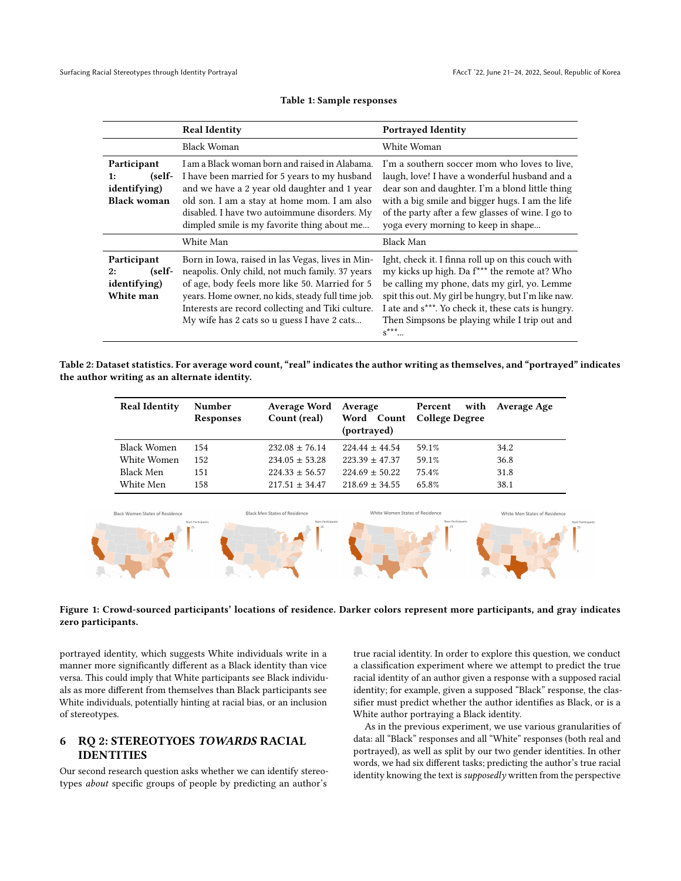<span id="page-4-0"></span>

|                                                                           | <b>Real Identity</b>                                                                                                                                                                                                                                                                                           | <b>Portrayed Identity</b>                                                                                                                                                                                                                                                                                                                 |
|---------------------------------------------------------------------------|----------------------------------------------------------------------------------------------------------------------------------------------------------------------------------------------------------------------------------------------------------------------------------------------------------------|-------------------------------------------------------------------------------------------------------------------------------------------------------------------------------------------------------------------------------------------------------------------------------------------------------------------------------------------|
|                                                                           | Black Woman                                                                                                                                                                                                                                                                                                    | White Woman                                                                                                                                                                                                                                                                                                                               |
| Participant<br>(self-<br>1:<br><i>identifying</i> )<br><b>Black woman</b> | I am a Black woman born and raised in Alabama.<br>I have been married for 5 years to my husband<br>and we have a 2 year old daughter and 1 year<br>old son. I am a stay at home mom. I am also<br>disabled. I have two autoimmune disorders. My<br>dimpled smile is my favorite thing about me                 | I'm a southern soccer mom who loves to live,<br>laugh, love! I have a wonderful husband and a<br>dear son and daughter. I'm a blond little thing<br>with a big smile and bigger hugs. I am the life<br>of the party after a few glasses of wine. I go to<br>yoga every morning to keep in shape                                           |
|                                                                           | White Man                                                                                                                                                                                                                                                                                                      | Black Man                                                                                                                                                                                                                                                                                                                                 |
| Participant<br>(self-<br>2:<br>identifying)<br>White man                  | Born in Iowa, raised in las Vegas, lives in Min-<br>neapolis. Only child, not much family. 37 years<br>of age, body feels more like 50. Married for 5<br>years. Home owner, no kids, steady full time job.<br>Interests are record collecting and Tiki culture.<br>My wife has 2 cats so u guess I have 2 cats | Ight, check it. I finna roll up on this couch with<br>my kicks up high. Da f <sup>***</sup> the remote at? Who<br>be calling my phone, dats my girl, yo. Lemme<br>spit this out. My girl be hungry, but I'm like naw.<br>I ate and s***. Yo check it, these cats is hungry.<br>Then Simpsons be playing while I trip out and<br>$s^{***}$ |

#### Table 1: Sample responses

<span id="page-4-1"></span>Table 2: Dataset statistics. For average word count, "real" indicates the author writing as themselves, and "portrayed" indicates the author writing as an alternate identity.

| <b>Real Identity</b> | Number           | Average Word       | Average            | with<br>Percent           | Average Age |
|----------------------|------------------|--------------------|--------------------|---------------------------|-------------|
|                      | <b>Responses</b> | Count (real)       | (portrayed)        | Word Count College Degree |             |
|                      |                  |                    |                    |                           |             |
| Black Women          | 154              | $232.08 \pm 76.14$ | $224.44 \pm 44.54$ | 59.1%                     | 34.2        |
| White Women          | 152              | $234.05 \pm 53.28$ | $223.39 \pm 47.37$ | 59.1%                     | 36.8        |
| Black Men            | 151              | $224.33 \pm 56.57$ | $224.69 \pm 50.22$ | 75.4%                     | 31.8        |
| White Men            | 158              | $217.51 \pm 34.47$ | $218.69 \pm 34.55$ | 65.8%                     | 38.1        |
|                      |                  |                    |                    |                           |             |

<span id="page-4-2"></span>

#### Figure 1: Crowd-sourced participants' locations of residence. Darker colors represent more participants, and gray indicates zero participants.

portrayed identity, which suggests White individuals write in a manner more significantly different as a Black identity than vice versa. This could imply that White participants see Black individuals as more different from themselves than Black participants see White individuals, potentially hinting at racial bias, or an inclusion of stereotypes.

# 6 RQ 2: STEREOTYOES TOWARDS RACIAL IDENTITIES

Our second research question asks whether we can identify stereotypes about specific groups of people by predicting an author's

true racial identity. In order to explore this question, we conduct a classification experiment where we attempt to predict the true racial identity of an author given a response with a supposed racial identity; for example, given a supposed "Black" response, the classifier must predict whether the author identifies as Black, or is a White author portraying a Black identity.

As in the previous experiment, we use various granularities of data: all "Black" responses and all "White" responses (both real and portrayed), as well as split by our two gender identities. In other words, we had six different tasks; predicting the author's true racial identity knowing the text is *supposedly* written from the perspective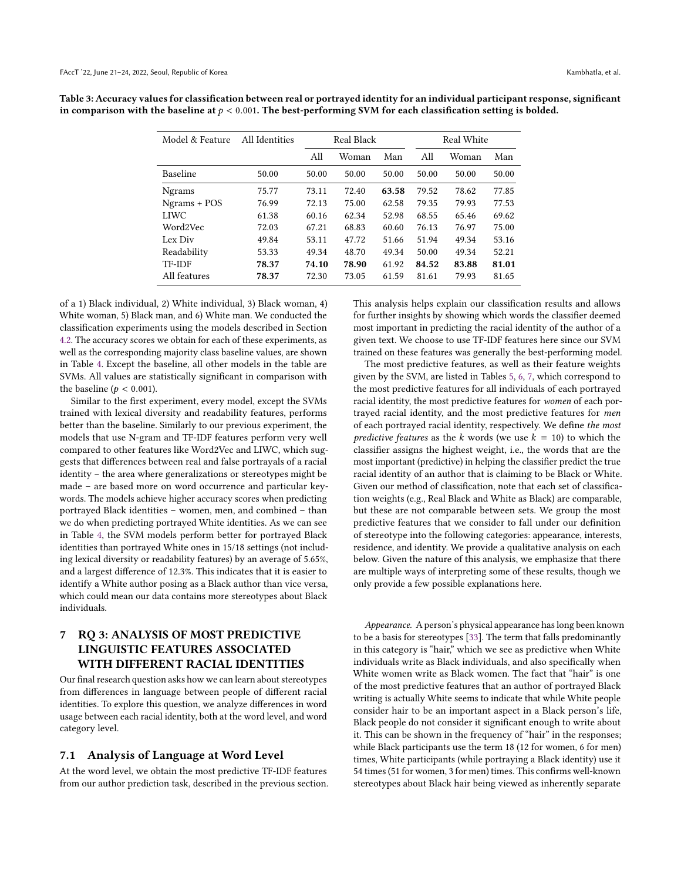| Model & Feature | All Identities | Real Black |       |       |       | Real White |       |  |
|-----------------|----------------|------------|-------|-------|-------|------------|-------|--|
|                 |                | All        | Woman | Man   | A11   | Woman      | Man   |  |
| Baseline        | 50.00          | 50.00      | 50.00 | 50.00 | 50.00 | 50.00      | 50.00 |  |
| <b>Ngrams</b>   | 75.77          | 73.11      | 72.40 | 63.58 | 79.52 | 78.62      | 77.85 |  |
| $Ngrams + POS$  | 76.99          | 72.13      | 75.00 | 62.58 | 79.35 | 79.93      | 77.53 |  |
| LIWC            | 61.38          | 60.16      | 62.34 | 52.98 | 68.55 | 65.46      | 69.62 |  |
| Word2Vec        | 72.03          | 67.21      | 68.83 | 60.60 | 76.13 | 76.97      | 75.00 |  |
| Lex Div         | 49.84          | 53.11      | 47.72 | 51.66 | 51.94 | 49.34      | 53.16 |  |
| Readability     | 53.33          | 49.34      | 48.70 | 49.34 | 50.00 | 49.34      | 52.21 |  |
| TF-IDF          | 78.37          | 74.10      | 78.90 | 61.92 | 84.52 | 83.88      | 81.01 |  |
| All features    | 78.37          | 72.30      | 73.05 | 61.59 | 81.61 | 79.93      | 81.65 |  |

<span id="page-5-0"></span>Table 3: Accuracy values for classification between real or portrayed identity for an individual participant response, significant in comparison with the baseline at  $p < 0.001$ . The best-performing SVM for each classification setting is bolded.

of a 1) Black individual, 2) White individual, 3) Black woman, 4) White woman, 5) Black man, and 6) White man. We conducted the classification experiments using the models described in Section [4.2.](#page-3-0) The accuracy scores we obtain for each of these experiments, as well as the corresponding majority class baseline values, are shown in Table [4.](#page-6-0) Except the baseline, all other models in the table are SVMs. All values are statistically significant in comparison with the baseline ( $p < 0.001$ ).

Similar to the first experiment, every model, except the SVMs trained with lexical diversity and readability features, performs better than the baseline. Similarly to our previous experiment, the models that use N-gram and TF-IDF features perform very well compared to other features like Word2Vec and LIWC, which suggests that differences between real and false portrayals of a racial identity – the area where generalizations or stereotypes might be made – are based more on word occurrence and particular keywords. The models achieve higher accuracy scores when predicting portrayed Black identities – women, men, and combined – than we do when predicting portrayed White identities. As we can see in Table [4,](#page-6-0) the SVM models perform better for portrayed Black identities than portrayed White ones in 15/18 settings (not including lexical diversity or readability features) by an average of 5.65%, and a largest difference of 12.3%. This indicates that it is easier to identify a White author posing as a Black author than vice versa, which could mean our data contains more stereotypes about Black individuals.

# <span id="page-5-1"></span>7 RQ 3: ANALYSIS OF MOST PREDICTIVE LINGUISTIC FEATURES ASSOCIATED WITH DIFFERENT RACIAL IDENTITIES

Our final research question asks how we can learn about stereotypes from differences in language between people of different racial identities. To explore this question, we analyze differences in word usage between each racial identity, both at the word level, and word category level.

#### 7.1 Analysis of Language at Word Level

At the word level, we obtain the most predictive TF-IDF features from our author prediction task, described in the previous section. This analysis helps explain our classification results and allows for further insights by showing which words the classifier deemed most important in predicting the racial identity of the author of a given text. We choose to use TF-IDF features here since our SVM trained on these features was generally the best-performing model.

The most predictive features, as well as their feature weights given by the SVM, are listed in Tables [5,](#page-6-1) [6,](#page-7-0) [7,](#page-7-1) which correspond to the most predictive features for all individuals of each portrayed racial identity, the most predictive features for women of each portrayed racial identity, and the most predictive features for men of each portrayed racial identity, respectively. We define the most predictive features as the k words (we use  $k = 10$ ) to which the classifier assigns the highest weight, i.e., the words that are the most important (predictive) in helping the classifier predict the true racial identity of an author that is claiming to be Black or White. Given our method of classification, note that each set of classification weights (e.g., Real Black and White as Black) are comparable, but these are not comparable between sets. We group the most predictive features that we consider to fall under our definition of stereotype into the following categories: appearance, interests, residence, and identity. We provide a qualitative analysis on each below. Given the nature of this analysis, we emphasize that there are multiple ways of interpreting some of these results, though we only provide a few possible explanations here.

Appearance. A person's physical appearance has long been known to be a basis for stereotypes [\[33\]](#page-10-25). The term that falls predominantly in this category is "hair," which we see as predictive when White individuals write as Black individuals, and also specifically when White women write as Black women. The fact that "hair" is one of the most predictive features that an author of portrayed Black writing is actually White seems to indicate that while White people consider hair to be an important aspect in a Black person's life, Black people do not consider it significant enough to write about it. This can be shown in the frequency of "hair" in the responses; while Black participants use the term 18 (12 for women, 6 for men) times, White participants (while portraying a Black identity) use it 54 times (51 for women, 3 for men) times. This confirms well-known stereotypes about Black hair being viewed as inherently separate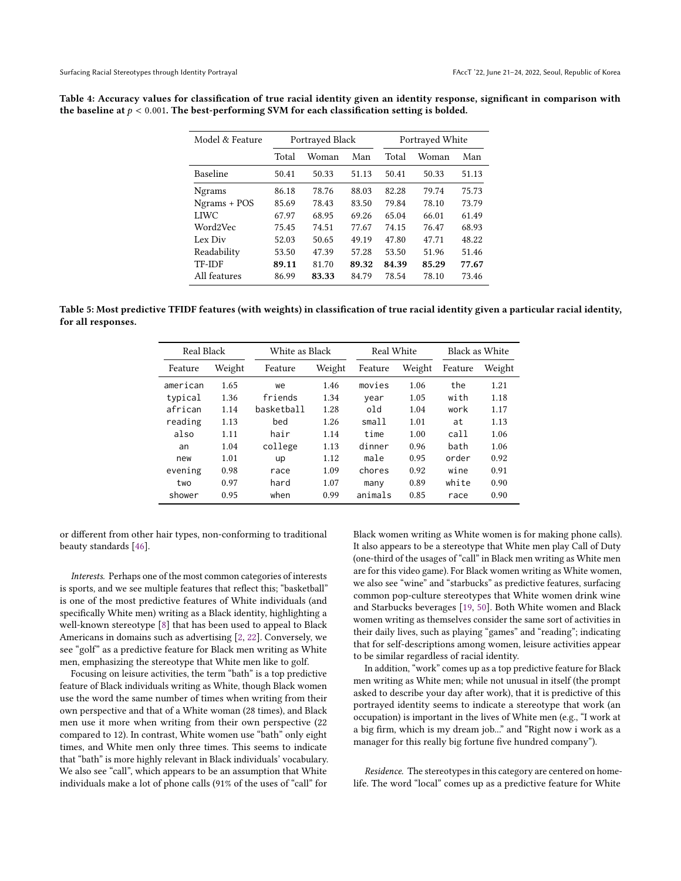<span id="page-6-0"></span>

| Table 4: Accuracy values for classification of true racial identity given an identity response, significant in comparison with |
|--------------------------------------------------------------------------------------------------------------------------------|
| the baseline at $p < 0.001$ . The best-performing SVM for each classification setting is bolded.                               |
|                                                                                                                                |

| Model & Feature | Portrayed Black |       |       | Portrayed White |       |       |
|-----------------|-----------------|-------|-------|-----------------|-------|-------|
|                 | Total           | Woman | Man   | Total           | Woman | Man   |
| Baseline        | 50.41           | 50.33 | 51.13 | 50.41           | 50.33 | 51.13 |
| <b>Ngrams</b>   | 86.18           | 78.76 | 88.03 | 82.28           | 79.74 | 75.73 |
| Ngrams + POS    | 85.69           | 78.43 | 83.50 | 79.84           | 78.10 | 73.79 |
| LIWC            | 67.97           | 68.95 | 69.26 | 65.04           | 66.01 | 61.49 |
| Word2Vec        | 75.45           | 74.51 | 77.67 | 74.15           | 76.47 | 68.93 |
| Lex Div         | 52.03           | 50.65 | 49.19 | 47.80           | 47.71 | 48.22 |
| Readability     | 53.50           | 47.39 | 57.28 | 53.50           | 51.96 | 51.46 |
| <b>TF-IDF</b>   | 89.11           | 81.70 | 89.32 | 84.39           | 85.29 | 77.67 |
| All features    | 86.99           | 83.33 | 84.79 | 78.54           | 78.10 | 73.46 |

<span id="page-6-1"></span>Table 5: Most predictive TFIDF features (with weights) in classification of true racial identity given a particular racial identity, for all responses.

| Real Black |        | White as Black |        | Real White |        | Black as White |        |
|------------|--------|----------------|--------|------------|--------|----------------|--------|
| Feature    | Weight | Feature        | Weight | Feature    | Weight | Feature        | Weight |
| american   | 1.65   | we             | 1.46   | movies     | 1.06   | the            | 1.21   |
| typical    | 1.36   | friends        | 1.34   | year       | 1.05   | with           | 1.18   |
| african    | 1.14   | haskethall     | 1.28   | hfo        | 1.04   | work           | 1.17   |
| reading    | 1.13   | bed            | 1.26   | small      | 1.01   | at             | 1.13   |
| also       | 1.11   | hair           | 1.14   | time       | 1.00   | cal l          | 1.06   |
| an         | 1.04   | college        | 1.13   | dinner     | 0.96   | bath           | 1.06   |
| new        | 1.01   | <b>up</b>      | 1.12   | male       | 0.95   | order          | 0.92   |
| evening    | 0.98   | race           | 1.09   | chores     | 0.92   | wine           | 0.91   |
| two        | 0.97   | hard           | 1.07   | many       | 0.89   | white          | 0.90   |
| shower     | 0.95   | when           | 0.99   | animals    | 0.85   | race           | 0.90   |

or different from other hair types, non-conforming to traditional beauty standards [\[46\]](#page-11-17).

Interests. Perhaps one of the most common categories of interests is sports, and we see multiple features that reflect this; "basketball" is one of the most predictive features of White individuals (and specifically White men) writing as a Black identity, highlighting a well-known stereotype [\[8\]](#page-10-26) that has been used to appeal to Black Americans in domains such as advertising [\[2,](#page-10-27) [22\]](#page-10-28). Conversely, we see "golf" as a predictive feature for Black men writing as White men, emphasizing the stereotype that White men like to golf.

Focusing on leisure activities, the term "bath" is a top predictive feature of Black individuals writing as White, though Black women use the word the same number of times when writing from their own perspective and that of a White woman (28 times), and Black men use it more when writing from their own perspective (22 compared to 12). In contrast, White women use "bath" only eight times, and White men only three times. This seems to indicate that "bath" is more highly relevant in Black individuals' vocabulary. We also see "call", which appears to be an assumption that White individuals make a lot of phone calls (91% of the uses of "call" for

Black women writing as White women is for making phone calls). It also appears to be a stereotype that White men play Call of Duty (one-third of the usages of "call" in Black men writing as White men are for this video game). For Black women writing as White women, we also see "wine" and "starbucks" as predictive features, surfacing common pop-culture stereotypes that White women drink wine and Starbucks beverages [\[19,](#page-10-29) [50\]](#page-11-18). Both White women and Black women writing as themselves consider the same sort of activities in their daily lives, such as playing "games" and "reading"; indicating that for self-descriptions among women, leisure activities appear to be similar regardless of racial identity.

In addition, "work" comes up as a top predictive feature for Black men writing as White men; while not unusual in itself (the prompt asked to describe your day after work), that it is predictive of this portrayed identity seems to indicate a stereotype that work (an occupation) is important in the lives of White men (e.g., "I work at a big firm, which is my dream job..." and "Right now i work as a manager for this really big fortune five hundred company").

Residence. The stereotypes in this category are centered on homelife. The word "local" comes up as a predictive feature for White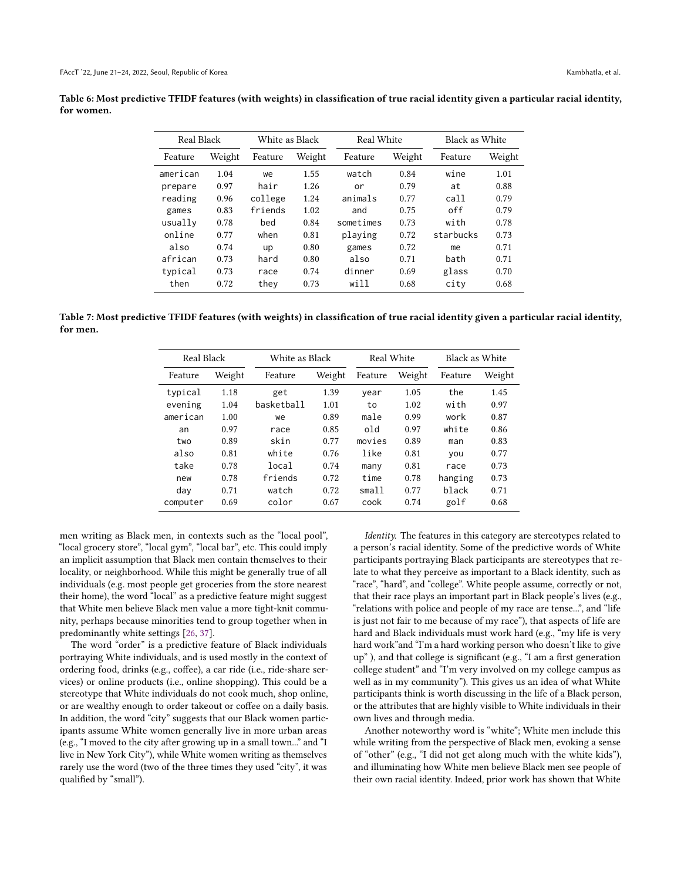<span id="page-7-0"></span>Table 6: Most predictive TFIDF features (with weights) in classification of true racial identity given a particular racial identity, for women.

| Real Black |        | White as Black |        | Real White |        |           | Black as White |  |
|------------|--------|----------------|--------|------------|--------|-----------|----------------|--|
| Feature    | Weight | Feature        | Weight | Feature    | Weight | Feature   | Weight         |  |
| american   | 1.04   | we             | 1.55   | watch      | 0.84   | wine      | 1.01           |  |
| prepare    | 0.97   | hair           | 1.26   | or         | 0.79   | at        | 0.88           |  |
| reading    | 0.96   | college        | 1.24   | animals    | 0.77   | call      | 0.79           |  |
| games      | 0.83   | friends        | 1.02   | and        | 0.75   | off       | 0.79           |  |
| usually    | 0.78   | bed            | 0.84   | sometimes  | 0.73   | with      | 0.78           |  |
| online     | 0.77   | when           | 0.81   | playing    | 0.72   | starbucks | 0.73           |  |
| also       | 0.74   | <b>up</b>      | 0.80   | games      | 0.72   | me        | 0.71           |  |
| african    | 0.73   | hard           | 0.80   | also       | 0.71   | hath      | 0.71           |  |
| typical    | 0.73   | race           | 0.74   | dinner     | 0.69   | glass     | 0.70           |  |
| then       | 0.72   | thev           | 0.73   | will       | 0.68   | city      | 0.68           |  |

<span id="page-7-1"></span>Table 7: Most predictive TFIDF features (with weights) in classification of true racial identity given a particular racial identity, for men.

| Real Black |        | White as Black |        | Real White |        | Black as White |        |
|------------|--------|----------------|--------|------------|--------|----------------|--------|
| Feature    | Weight | Feature        | Weight | Feature    | Weight | Feature        | Weight |
| typical    | 1.18   | get            | 1.39   | year       | 1.05   | the            | 1.45   |
| evening    | 1.04   | haskethall     | 1.01   | to         | 1.02   | with           | 0.97   |
| american   | 1.00   | we             | 0.89   | male       | 0.99   | work           | 0.87   |
| an         | 0.97   | race           | 0.85   | old        | 0.97   | white          | 0.86   |
| two        | 0.89   | skin           | 0.77   | movies     | 0.89   | man            | 0.83   |
| also       | 0.81   | white          | 0.76   | like       | 0.81   | you            | 0.77   |
| take       | 0.78   | local          | 0.74   | many       | 0.81   | race           | 0.73   |
| new        | 0.78   | friends        | 0.72   | time       | 0.78   | hanging        | 0.73   |
| day        | 0.71   | watch          | 0.72   | small      | 0.77   | black          | 0.71   |
| computer   | 0.69   | color          | 0.67   | cook       | 0.74   | golf           | 0.68   |

men writing as Black men, in contexts such as the "local pool", "local grocery store", "local gym", "local bar", etc. This could imply an implicit assumption that Black men contain themselves to their locality, or neighborhood. While this might be generally true of all individuals (e.g. most people get groceries from the store nearest their home), the word "local" as a predictive feature might suggest that White men believe Black men value a more tight-knit community, perhaps because minorities tend to group together when in predominantly white settings [\[26,](#page-10-30) [37\]](#page-11-19).

The word "order" is a predictive feature of Black individuals portraying White individuals, and is used mostly in the context of ordering food, drinks (e.g., coffee), a car ride (i.e., ride-share services) or online products (i.e., online shopping). This could be a stereotype that White individuals do not cook much, shop online, or are wealthy enough to order takeout or coffee on a daily basis. In addition, the word "city" suggests that our Black women participants assume White women generally live in more urban areas (e.g., "I moved to the city after growing up in a small town..." and "I live in New York City"), while White women writing as themselves rarely use the word (two of the three times they used "city", it was qualified by "small").

Identity. The features in this category are stereotypes related to a person's racial identity. Some of the predictive words of White participants portraying Black participants are stereotypes that relate to what they perceive as important to a Black identity, such as "race", "hard", and "college". White people assume, correctly or not, that their race plays an important part in Black people's lives (e.g., "relations with police and people of my race are tense...", and "life is just not fair to me because of my race"), that aspects of life are hard and Black individuals must work hard (e.g., "my life is very hard work"and "I'm a hard working person who doesn't like to give up" ), and that college is significant (e.g., "I am a first generation college student" and "I'm very involved on my college campus as well as in my community"). This gives us an idea of what White participants think is worth discussing in the life of a Black person, or the attributes that are highly visible to White individuals in their own lives and through media.

Another noteworthy word is "white"; White men include this while writing from the perspective of Black men, evoking a sense of "other" (e.g., "I did not get along much with the white kids"), and illuminating how White men believe Black men see people of their own racial identity. Indeed, prior work has shown that White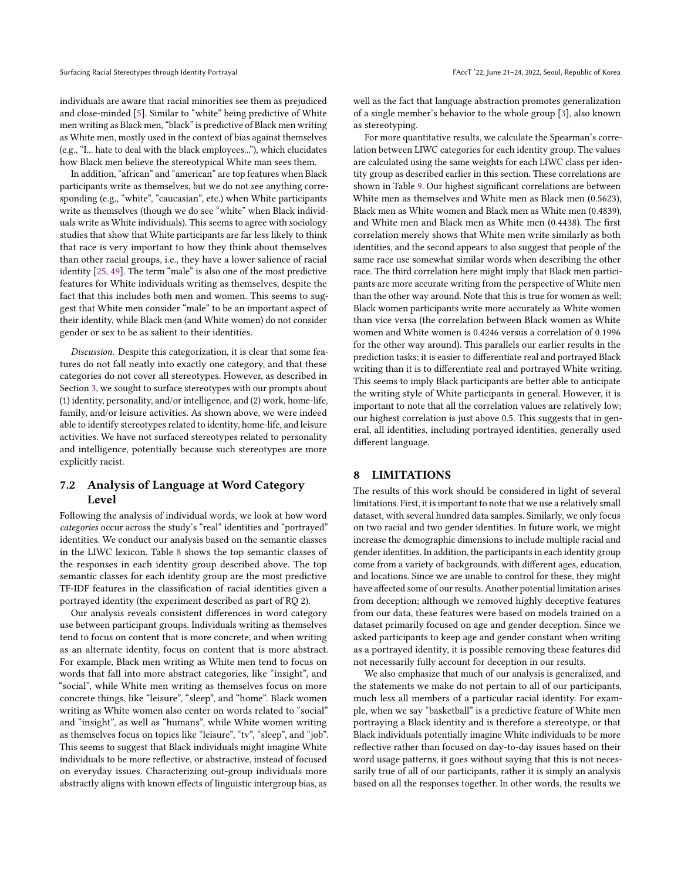individuals are aware that racial minorities see them as prejudiced and close-minded [\[5\]](#page-10-31). Similar to "white" being predictive of White men writing as Black men, "black" is predictive of Black men writing as White men, mostly used in the context of bias against themselves (e.g., "I... hate to deal with the black employees..."), which elucidates how Black men believe the stereotypical White man sees them.

In addition, "african" and "american" are top features when Black participants write as themselves, but we do not see anything corresponding (e.g., "white", "caucasian", etc.) when White participants write as themselves (though we do see "white" when Black individuals write as White individuals). This seems to agree with sociology studies that show that White participants are far less likely to think that race is very important to how they think about themselves than other racial groups, i.e., they have a lower salience of racial identity [\[25,](#page-10-32) [49\]](#page-11-20). The term "male" is also one of the most predictive features for White individuals writing as themselves, despite the fact that this includes both men and women. This seems to suggest that White men consider "male" to be an important aspect of their identity, while Black men (and White women) do not consider gender or sex to be as salient to their identities.

Discussion. Despite this categorization, it is clear that some features do not fall neatly into exactly one category, and that these categories do not cover all stereotypes. However, as described in Section [3,](#page-2-1) we sought to surface stereotypes with our prompts about (1) identity, personality, and/or intelligence, and (2) work, home-life, family, and/or leisure activities. As shown above, we were indeed able to identify stereotypes related to identity, home-life, and leisure activities. We have not surfaced stereotypes related to personality and intelligence, potentially because such stereotypes are more explicitly racist.

## 7.2 Analysis of Language at Word Category Level

Following the analysis of individual words, we look at how word categories occur across the study's "real" identities and "portrayed" identities. We conduct our analysis based on the semantic classes in the LIWC lexicon. Table [8](#page-9-0) shows the top semantic classes of the responses in each identity group described above. The top semantic classes for each identity group are the most predictive TF-IDF features in the classification of racial identities given a portrayed identity (the experiment described as part of RQ 2).

Our analysis reveals consistent differences in word category use between participant groups. Individuals writing as themselves tend to focus on content that is more concrete, and when writing as an alternate identity, focus on content that is more abstract. For example, Black men writing as White men tend to focus on words that fall into more abstract categories, like "insight", and "social", while White men writing as themselves focus on more concrete things, like "leisure", "sleep", and "home". Black women writing as White women also center on words related to "social" and "insight", as well as "humans", while White women writing as themselves focus on topics like "leisure", "tv", "sleep", and "job". This seems to suggest that Black individuals might imagine White individuals to be more reflective, or abstractive, instead of focused on everyday issues. Characterizing out-group individuals more abstractly aligns with known effects of linguistic intergroup bias, as

well as the fact that language abstraction promotes generalization of a single member's behavior to the whole group [\[3\]](#page-10-33), also known as stereotyping.

For more quantitative results, we calculate the Spearman's correlation between LIWC categories for each identity group. The values are calculated using the same weights for each LIWC class per identity group as described earlier in this section. These correlations are shown in Table [9.](#page-9-1) Our highest significant correlations are between White men as themselves and White men as Black men (0.5623), Black men as White women and Black men as White men (0.4839), and White men and Black men as White men (0.4438). The first correlation merely shows that White men write similarly as both identities, and the second appears to also suggest that people of the same race use somewhat similar words when describing the other race. The third correlation here might imply that Black men participants are more accurate writing from the perspective of White men than the other way around. Note that this is true for women as well; Black women participants write more accurately as White women than vice versa (the correlation between Black women as White women and White women is 0.4246 versus a correlation of 0.1996 for the other way around). This parallels our earlier results in the prediction tasks; it is easier to differentiate real and portrayed Black writing than it is to differentiate real and portrayed White writing. This seems to imply Black participants are better able to anticipate the writing style of White participants in general. However, it is important to note that all the correlation values are relatively low; our highest correlation is just above 0.5. This suggests that in general, all identities, including portrayed identities, generally used different language.

## 8 LIMITATIONS

The results of this work should be considered in light of several limitations. First, it is important to note that we use a relatively small dataset, with several hundred data samples. Similarly, we only focus on two racial and two gender identities. In future work, we might increase the demographic dimensions to include multiple racial and gender identities. In addition, the participants in each identity group come from a variety of backgrounds, with different ages, education, and locations. Since we are unable to control for these, they might have affected some of our results. Another potential limitation arises from deception; although we removed highly deceptive features from our data, these features were based on models trained on a dataset primarily focused on age and gender deception. Since we asked participants to keep age and gender constant when writing as a portrayed identity, it is possible removing these features did not necessarily fully account for deception in our results.

We also emphasize that much of our analysis is generalized, and the statements we make do not pertain to all of our participants, much less all members of a particular racial identity. For example, when we say "basketball" is a predictive feature of White men portraying a Black identity and is therefore a stereotype, or that Black individuals potentially imagine White individuals to be more reflective rather than focused on day-to-day issues based on their word usage patterns, it goes without saying that this is not necessarily true of all of our participants, rather it is simply an analysis based on all the responses together. In other words, the results we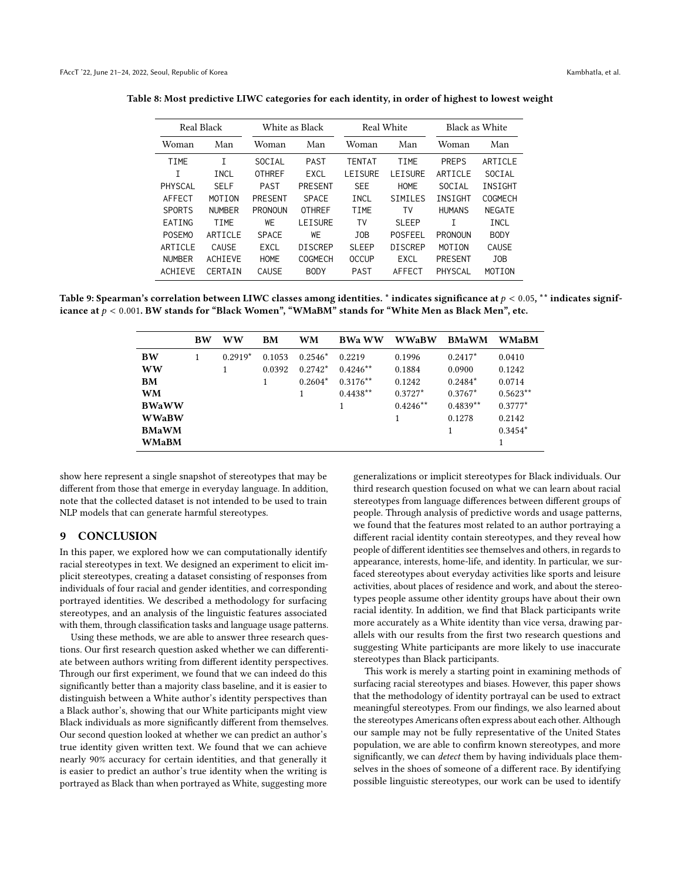| Real Black    |                | White as Black |                |               | Real White     | Black as White |                |
|---------------|----------------|----------------|----------------|---------------|----------------|----------------|----------------|
| Woman         | Man            | Woman          | Man            | Woman         | Man            | Woman          | Man            |
| <b>TIME</b>   | Τ              | SOCIAL         | <b>PAST</b>    | <b>TENTAT</b> | TIME           | <b>PREPS</b>   | ARTICLE        |
| т             | INCL           | <b>OTHREF</b>  | EXCL           | LEISURE       | LEISURE        | ARTICLE        | SOCIAL         |
| PHYSCAL       | <b>SELF</b>    | <b>PAST</b>    | PRESENT        | <b>SEE</b>    | <b>HOME</b>    | SOCIAL         | INSIGHT        |
| AFFECT        | <b>MOTTON</b>  | <b>PRESENT</b> | <b>SPACE</b>   | INCL          | <b>SIMILES</b> | INSIGHT        | <b>COGMECH</b> |
| <b>SPORTS</b> | <b>NUMBER</b>  | <b>PRONOUN</b> | <b>OTHREF</b>  | TIME          | T٧             | <b>HUMANS</b>  | <b>NFGATF</b>  |
| EATING        | TIME           | WE             | <b>LEISURE</b> | TV            | <b>SLEEP</b>   | т              | INCL           |
| <b>POSEMO</b> | ARTTCLF        | <b>SPACE</b>   | WF             | JOB           | <b>POSFEEL</b> | <b>PRONOUN</b> | <b>BODY</b>    |
| ARTTCLF       | CAUSE          | EXCL           | <b>DISCREP</b> | <b>SLEEP</b>  | <b>DISCREP</b> | MOTION         | CAUSE          |
| <b>NUMBER</b> | <b>ACHTEVE</b> | <b>HOME</b>    | COGMECH        | <b>OCCUP</b>  | <b>EXCL</b>    | <b>PRESENT</b> | JOB            |
| ACHIEVE       | CERTAIN        | CAUSE          | <b>BODY</b>    | <b>PAST</b>   | AFFECT         | PHYSCAL        | MOTION         |

<span id="page-9-0"></span>Table 8: Most predictive LIWC categories for each identity, in order of highest to lowest weight

<span id="page-9-1"></span>Table 9: Spearman's correlation between LIWC classes among identities. \* indicates significance at  $p < 0.05$ , \*\* indicates significance at  $p < 0.001$ . BW stands for "Black Women", "WMaBM" stands for "White Men as Black Men", etc.

|              | <b>BW</b> | <b>WW</b> | <b>BM</b> | WM        | <b>BWa WW</b> | <b>WWaBW</b> | <b>BMaWM</b> | <b>WMaBM</b> |
|--------------|-----------|-----------|-----------|-----------|---------------|--------------|--------------|--------------|
| <b>BW</b>    |           | $0.2919*$ | 0.1053    | $0.2546*$ | 0.2219        | 0.1996       | $0.2417*$    | 0.0410       |
| <b>WW</b>    |           |           | 0.0392    | $0.2742*$ | $0.4246**$    | 0.1884       | 0.0900       | 0.1242       |
| <b>BM</b>    |           |           | 1         | $0.2604*$ | $0.3176**$    | 0.1242       | $0.2484*$    | 0.0714       |
| <b>WM</b>    |           |           |           |           | $0.4438**$    | $0.3727*$    | $0.3767*$    | $0.5623**$   |
| <b>BWaWW</b> |           |           |           |           | 1             | $0.4246**$   | $0.4839**$   | $0.3777*$    |
| <b>WWaBW</b> |           |           |           |           |               |              | 0.1278       | 0.2142       |
| <b>BMaWM</b> |           |           |           |           |               |              |              | $0.3454*$    |
| <b>WMaBM</b> |           |           |           |           |               |              |              |              |

show here represent a single snapshot of stereotypes that may be different from those that emerge in everyday language. In addition, note that the collected dataset is not intended to be used to train NLP models that can generate harmful stereotypes.

#### 9 CONCLUSION

In this paper, we explored how we can computationally identify racial stereotypes in text. We designed an experiment to elicit implicit stereotypes, creating a dataset consisting of responses from individuals of four racial and gender identities, and corresponding portrayed identities. We described a methodology for surfacing stereotypes, and an analysis of the linguistic features associated with them, through classification tasks and language usage patterns.

Using these methods, we are able to answer three research questions. Our first research question asked whether we can differentiate between authors writing from different identity perspectives. Through our first experiment, we found that we can indeed do this significantly better than a majority class baseline, and it is easier to distinguish between a White author's identity perspectives than a Black author's, showing that our White participants might view Black individuals as more significantly different from themselves. Our second question looked at whether we can predict an author's true identity given written text. We found that we can achieve nearly 90% accuracy for certain identities, and that generally it is easier to predict an author's true identity when the writing is portrayed as Black than when portrayed as White, suggesting more

generalizations or implicit stereotypes for Black individuals. Our third research question focused on what we can learn about racial stereotypes from language differences between different groups of people. Through analysis of predictive words and usage patterns, we found that the features most related to an author portraying a different racial identity contain stereotypes, and they reveal how people of different identities see themselves and others, in regards to appearance, interests, home-life, and identity. In particular, we surfaced stereotypes about everyday activities like sports and leisure activities, about places of residence and work, and about the stereotypes people assume other identity groups have about their own racial identity. In addition, we find that Black participants write more accurately as a White identity than vice versa, drawing parallels with our results from the first two research questions and suggesting White participants are more likely to use inaccurate stereotypes than Black participants.

This work is merely a starting point in examining methods of surfacing racial stereotypes and biases. However, this paper shows that the methodology of identity portrayal can be used to extract meaningful stereotypes. From our findings, we also learned about the stereotypes Americans often express about each other. Although our sample may not be fully representative of the United States population, we are able to confirm known stereotypes, and more significantly, we can detect them by having individuals place themselves in the shoes of someone of a different race. By identifying possible linguistic stereotypes, our work can be used to identify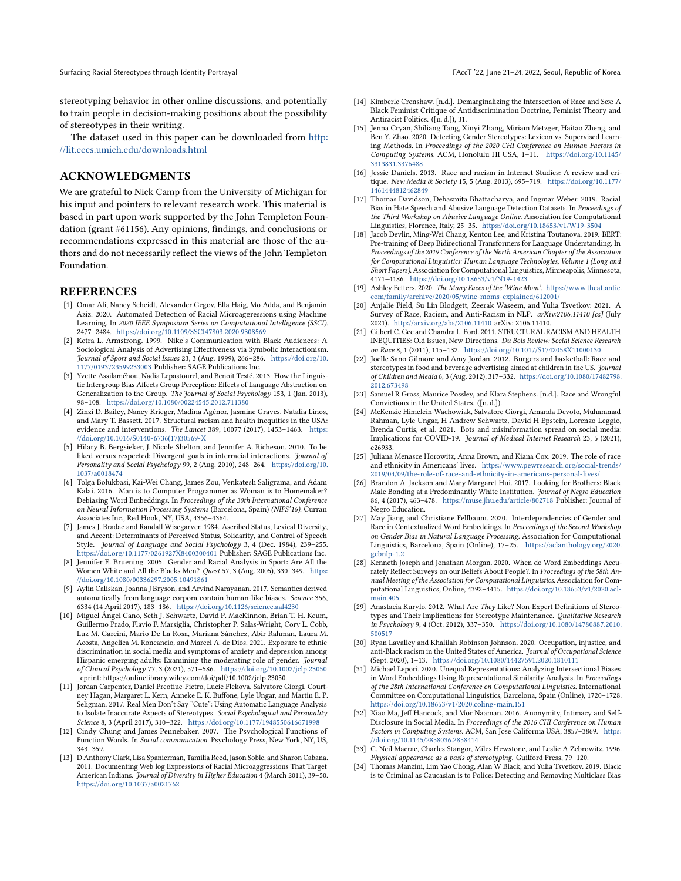Surfacing Racial Stereotypes through Identity Portrayal **FACCT** is a structure of Korea Contract of Korea Contract Text of Korea Contract Text of Korea Contract Text of Korea Contract Text of Korea Contract Text of Korea C

stereotyping behavior in other online discussions, and potentially to train people in decision-making positions about the possibility of stereotypes in their writing.

The dataset used in this paper can be downloaded from [http:](http://lit.eecs.umich.edu/downloads.html) [//lit.eecs.umich.edu/downloads.html](http://lit.eecs.umich.edu/downloads.html)

## ACKNOWLEDGMENTS

We are grateful to Nick Camp from the University of Michigan for his input and pointers to relevant research work. This material is based in part upon work supported by the John Templeton Foundation (grant #61156). Any opinions, findings, and conclusions or recommendations expressed in this material are those of the authors and do not necessarily reflect the views of the John Templeton Foundation.

#### REFERENCES

- <span id="page-10-20"></span>[1] Omar Ali, Nancy Scheidt, Alexander Gegov, Ella Haig, Mo Adda, and Benjamin Aziz. 2020. Automated Detection of Racial Microaggressions using Machine Learning. In 2020 IEEE Symposium Series on Computational Intelligence (SSCI). 2477–2484. <https://doi.org/10.1109/SSCI47803.2020.9308569>
- <span id="page-10-27"></span>[2] Ketra L. Armstrong. 1999. Nike's Communication with Black Audiences: A Sociological Analysis of Advertising Effectiveness via Symbolic Interactionism. Journal of Sport and Social Issues 23, 3 (Aug. 1999), 266–286. [https://doi.org/10.](https://doi.org/10.1177/0193723599233003) [1177/0193723599233003](https://doi.org/10.1177/0193723599233003) Publisher: SAGE Publications Inc.
- <span id="page-10-33"></span>[3] Yvette Assilaméhou, Nadia Lepastourel, and Benoit Testé. 2013. How the Linguistic Intergroup Bias Affects Group Perception: Effects of Language Abstraction on Generalization to the Group. The Journal of Social Psychology 153, 1 (Jan. 2013), 98–108. <https://doi.org/10.1080/00224545.2012.711380>
- <span id="page-10-1"></span>[4] Zinzi D. Bailey, Nancy Krieger, Madina Agénor, Jasmine Graves, Natalia Linos, and Mary T. Bassett. 2017. Structural racism and health inequities in the USA: evidence and interventions. The Lancet 389, 10077 (2017), 1453–1463. [https:](https://doi.org/10.1016/S0140-6736(17)30569-X) [//doi.org/10.1016/S0140-6736\(17\)30569-X](https://doi.org/10.1016/S0140-6736(17)30569-X)
- <span id="page-10-31"></span>[5] Hilary B. Bergsieker, J. Nicole Shelton, and Jennifer A. Richeson. 2010. To be liked versus respected: Divergent goals in interracial interactions. Journal of Personality and Social Psychology 99, 2 (Aug. 2010), 248–264. [https://doi.org/10.](https://doi.org/10.1037/a0018474) [1037/a0018474](https://doi.org/10.1037/a0018474)
- <span id="page-10-10"></span>[6] Tolga Bolukbasi, Kai-Wei Chang, James Zou, Venkatesh Saligrama, and Adam Kalai. 2016. Man is to Computer Programmer as Woman is to Homemaker? Debiasing Word Embeddings. In Proceedings of the 30th International Conference on Neural Information Processing Systems (Barcelona, Spain) (NIPS'16). Curran Associates Inc., Red Hook, NY, USA, 4356–4364.
- <span id="page-10-24"></span>[7] James J. Bradac and Randall Wisegarver. 1984. Ascribed Status, Lexical Diversity, and Accent: Determinants of Perceived Status, Solidarity, and Control of Speech Style. Journal of Language and Social Psychology 3, 4 (Dec. 1984), 239–255. <https://doi.org/10.1177/0261927X8400300401> Publisher: SAGE Publications Inc.
- <span id="page-10-26"></span>[8] Jennifer E. Bruening. 2005. Gender and Racial Analysis in Sport: Are All the Women White and All the Blacks Men? Quest 57, 3 (Aug. 2005), 330–349. [https:](https://doi.org/10.1080/00336297.2005.10491861) [//doi.org/10.1080/00336297.2005.10491861](https://doi.org/10.1080/00336297.2005.10491861)
- <span id="page-10-11"></span>[9] Aylin Caliskan, Joanna J Bryson, and Arvind Narayanan. 2017. Semantics derived automatically from language corpora contain human-like biases. Science 356, 6334 (14 April 2017), 183–186. <https://doi.org/10.1126/science.aal4230>
- <span id="page-10-2"></span>[10] Miguel Ángel Cano, Seth J. Schwartz, David P. MacKinnon, Brian T. H. Keum, Guillermo Prado, Flavio F. Marsiglia, Christopher P. Salas-Wright, Cory L. Cobb, Luz M. Garcini, Mario De La Rosa, Mariana Sánchez, Abir Rahman, Laura M. Acosta, Angelica M. Roncancio, and Marcel A. de Dios. 2021. Exposure to ethnic discrimination in social media and symptoms of anxiety and depression among Hispanic emerging adults: Examining the moderating role of gender. Journal of Clinical Psychology 77, 3 (2021), 571–586. <https://doi.org/10.1002/jclp.23050> \_eprint: https://onlinelibrary.wiley.com/doi/pdf/10.1002/jclp.23050.
- <span id="page-10-19"></span>[11] Jordan Carpenter, Daniel Preotiuc-Pietro, Lucie Flekova, Salvatore Giorgi, Courtney Hagan, Margaret L. Kern, Anneke E. K. Buffone, Lyle Ungar, and Martin E. P. Seligman. 2017. Real Men Don't Say "Cute": Using Automatic Language Analysis to Isolate Inaccurate Aspects of Stereotypes. Social Psychological and Personality Science 8, 3 (April 2017), 310–322. <https://doi.org/10.1177/1948550616671998>
- <span id="page-10-22"></span>[12] Cindy Chung and James Pennebaker. 2007. The Psychological Functions of Function Words. In Social communication. Psychology Press, New York, NY, US, 343–359.
- <span id="page-10-4"></span>[13] D Anthony Clark, Lisa Spanierman, Tamilia Reed, Jason Soble, and Sharon Cabana. 2011. Documenting Web log Expressions of Racial Microaggressions That Target American Indians. Journal of Diversity in Higher Education 4 (March 2011), 39-50. <https://doi.org/10.1037/a0021762>
- <span id="page-10-16"></span>[14] Kimberle Crenshaw. [n.d.]. Demarginalizing the Intersection of Race and Sex: A Black Feminist Critique of Antidiscrimination Doctrine, Feminist Theory and Antiracist Politics. ([n. d.]), 31.
- <span id="page-10-18"></span>[15] Jenna Cryan, Shiliang Tang, Xinyi Zhang, Miriam Metzger, Haitao Zheng, and Ben Y. Zhao. 2020. Detecting Gender Stereotypes: Lexicon vs. Supervised Learning Methods. In Proceedings of the 2020 CHI Conference on Human Factors in Computing Systems. ACM, Honolulu HI USA, 1–11. [https://doi.org/10.1145/](https://doi.org/10.1145/3313831.3376488) [3313831.3376488](https://doi.org/10.1145/3313831.3376488)
- <span id="page-10-5"></span>[16] Jessie Daniels. 2013. Race and racism in Internet Studies: A review and critique. New Media & Society 15, 5 (Aug. 2013), 695–719. [https://doi.org/10.1177/](https://doi.org/10.1177/1461444812462849) [1461444812462849](https://doi.org/10.1177/1461444812462849)
- <span id="page-10-17"></span>[17] Thomas Davidson, Debasmita Bhattacharya, and Ingmar Weber. 2019. Racial Bias in Hate Speech and Abusive Language Detection Datasets. In Proceedings of the Third Workshop on Abusive Language Online. Association for Computational Linguistics, Florence, Italy, 25–35. <https://doi.org/10.18653/v1/W19-3504>
- <span id="page-10-23"></span>[18] Jacob Devlin, Ming-Wei Chang, Kenton Lee, and Kristina Toutanova. 2019. BERT: Pre-training of Deep Bidirectional Transformers for Language Understanding. In Proceedings of the 2019 Conference of the North American Chapter of the Association for Computational Linguistics: Human Language Technologies, Volume 1 (Long and Short Papers). Association for Computational Linguistics, Minneapolis, Minnesota, 4171–4186. <https://doi.org/10.18653/v1/N19-1423>
- <span id="page-10-29"></span>[19] Ashley Fetters. 2020. The Many Faces of the 'Wine Mom'. [https://www.theatlantic.](https://www.theatlantic.com/family/archive/2020/05/wine-moms-explained/612001/) [com/family/archive/2020/05/wine-moms-explained/612001/](https://www.theatlantic.com/family/archive/2020/05/wine-moms-explained/612001/)
- <span id="page-10-9"></span>[20] Anjalie Field, Su Lin Blodgett, Zeerak Waseem, and Yulia Tsvetkov. 2021. A Survey of Race, Racism, and Anti-Racism in NLP. arXiv:2106.11410 [cs] (July 2021). <http://arxiv.org/abs/2106.11410> arXiv: 2106.11410.
- <span id="page-10-3"></span>[21] Gilbert C. Gee and Chandra L. Ford. 2011. STRUCTURAL RACISM AND HEALTH INEQUITIES: Old Issues, New Directions. Du Bois Review: Social Science Research on Race 8, 1 (2011), 115–132. <https://doi.org/10.1017/S1742058X11000130>
- <span id="page-10-28"></span>[22] Joelle Sano Gilmore and Amy Jordan. 2012. Burgers and basketball: Race and stereotypes in food and beverage advertising aimed at children in the US. Journal of Children and Media 6, 3 (Aug. 2012), 317–332. [https://doi.org/10.1080/17482798.](https://doi.org/10.1080/17482798.2012.673498) [2012.673498](https://doi.org/10.1080/17482798.2012.673498)
- <span id="page-10-0"></span>[23] Samuel R Gross, Maurice Possley, and Klara Stephens. [n.d.]. Race and Wrongful Convictions in the United States. ([n. d.]).
- <span id="page-10-8"></span>[24] McKenzie Himelein-Wachowiak, Salvatore Giorgi, Amanda Devoto, Muhammad Rahman, Lyle Ungar, H Andrew Schwartz, David H Epstein, Lorenzo Leggio, Brenda Curtis, et al. 2021. Bots and misinformation spread on social media: Implications for COVID-19. Journal of Medical Internet Research 23, 5 (2021), e26933.
- <span id="page-10-32"></span>[25] Juliana Menasce Horowitz, Anna Brown, and Kiana Cox. 2019. The role of race and ethnicity in Americans' lives. [https://www.pewresearch.org/social-trends/](https://www.pewresearch.org/social-trends/2019/04/09/the-role-of-race-and-ethnicity-in-americans-personal-lives/) [2019/04/09/the-role-of-race-and-ethnicity-in-americans-personal-lives/](https://www.pewresearch.org/social-trends/2019/04/09/the-role-of-race-and-ethnicity-in-americans-personal-lives/)
- <span id="page-10-30"></span>[26] Brandon A. Jackson and Mary Margaret Hui. 2017. Looking for Brothers: Black Male Bonding at a Predominantly White Institution. Journal of Negro Education 86, 4 (2017), 463–478. <https://muse.jhu.edu/article/802718> Publisher: Journal of Negro Education.
- <span id="page-10-14"></span>[27] May Jiang and Christiane Fellbaum. 2020. Interdependencies of Gender and Race in Contextualized Word Embeddings. In Proceedings of the Second Workshop on Gender Bias in Natural Language Processing. Association for Computational Linguistics, Barcelona, Spain (Online), 17–25. [https://aclanthology.org/2020.](https://aclanthology.org/2020.gebnlp-1.2) [gebnlp-1.2](https://aclanthology.org/2020.gebnlp-1.2)
- <span id="page-10-12"></span>[28] Kenneth Joseph and Jonathan Morgan. 2020. When do Word Embeddings Accurately Reflect Surveys on our Beliefs About People?. In Proceedings of the 58th Annual Meeting of the Association for Computational Linguistics. Association for Computational Linguistics, Online, 4392–4415. [https://doi.org/10.18653/v1/2020.acl](https://doi.org/10.18653/v1/2020.acl-main.405)[main.405](https://doi.org/10.18653/v1/2020.acl-main.405)
- <span id="page-10-6"></span>[29] Anastacia Kurylo. 2012. What Are They Like? Non-Expert Definitions of Stereotypes and Their Implications for Stereotype Maintenance. Qualitative Research in Psychology 9, 4 (Oct. 2012), 337–350. [https://doi.org/10.1080/14780887.2010.](https://doi.org/10.1080/14780887.2010.500517) [500517](https://doi.org/10.1080/14780887.2010.500517)
- <span id="page-10-7"></span>[30] Ryan Lavalley and Khalilah Robinson Johnson. 2020. Occupation, injustice, and anti-Black racism in the United States of America. Journal of Occupational Science (Sept. 2020), 1–13. <https://doi.org/10.1080/14427591.2020.1810111>
- <span id="page-10-15"></span>[31] Michael Lepori. 2020. Unequal Representations: Analyzing Intersectional Biases in Word Embeddings Using Representational Similarity Analysis. In Proceedings of the 28th International Conference on Computational Linguistics. International Committee on Computational Linguistics, Barcelona, Spain (Online), 1720–1728. <https://doi.org/10.18653/v1/2020.coling-main.151>
- <span id="page-10-21"></span>[32] Xiao Ma, Jeff Hancock, and Mor Naaman. 2016. Anonymity, Intimacy and Self-Disclosure in Social Media. In Proceedings of the 2016 CHI Conference on Human Factors in Computing Systems. ACM, San Jose California USA, 3857–3869. [https:](https://doi.org/10.1145/2858036.2858414) [//doi.org/10.1145/2858036.2858414](https://doi.org/10.1145/2858036.2858414)
- <span id="page-10-25"></span>[33] C. Neil Macrae, Charles Stangor, Miles Hewstone, and Leslie A Zebrowitz. 1996. Physical appearance as a basis of stereotyping. Guilford Press, 79–120.
- <span id="page-10-13"></span>[34] Thomas Manzini, Lim Yao Chong, Alan W Black, and Yulia Tsvetkov. 2019. Black is to Criminal as Caucasian is to Police: Detecting and Removing Multiclass Bias